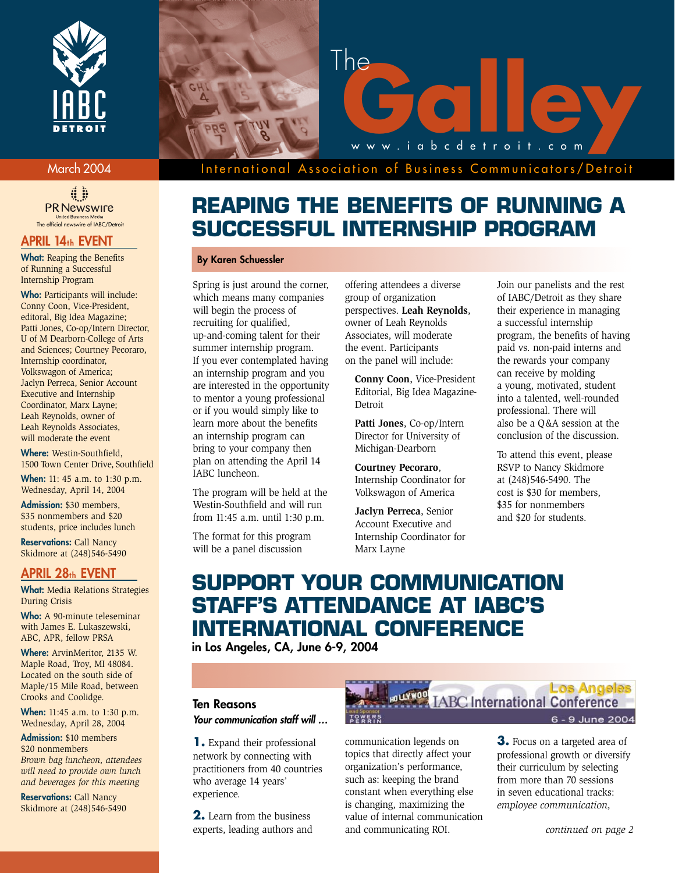

**PR Newswire** United Business Media<br>official newswire of IABC/Detroit

### **APRIL 14th EVENT**

**What:** Reaping the Benefits of Running a Successful Internship Program

Who: Participants will include: Conny Coon, Vice-President, editoral, Big Idea Magazine; Patti Jones, Co-op/Intern Director, U of M Dearborn-College of Arts and Sciences; Courtney Pecoraro, Internship coordinator, Volkswagon of America; Jaclyn Perreca, Senior Account Executive and Internship Coordinator, Marx Layne; Leah Reynolds, owner of Leah Reynolds Associates, will moderate the event

**Where:** Westin-Southfield, 1500 Town Center Drive, Southfield

**When:** 11: 45 a.m. to 1:30 p.m. Wednesday, April 14, 2004

**Admission:** \$30 members, \$35 nonmembers and \$20 students, price includes lunch

**Reservations:** Call Nancy Skidmore at (248)546-5490

# **APRIL 28th EVENT**

**What:** Media Relations Strategies During Crisis

**Who:** A 90-minute teleseminar with James E. Lukaszewski, ABC, APR, fellow PRSA

**Where:** ArvinMeritor, 2135 W. Maple Road, Troy, MI 48084. Located on the south side of Maple/15 Mile Road, between Crooks and Coolidge.

**When:** 11:45 a.m. to 1:30 p.m. Wednesday, April 28, 2004

**Admission:** \$10 members \$20 nonmembers *Brown bag luncheon, attendees will need to provide own lunch and beverages for this meeting*

**Reservations:** Call Nancy Skidmore at (248)546-5490



March 2004 International Association of Business Communicators/Detroit

# **REAPING THE BENEFITS OF RUNNING A SUCCESSFUL INTERNSHIP PROGRAM**

### **By Karen Schuessler**

Spring is just around the corner, which means many companies will begin the process of recruiting for qualified, up-and-coming talent for their summer internship program. If you ever contemplated having an internship program and you are interested in the opportunity to mentor a young professional or if you would simply like to learn more about the benefits an internship program can bring to your company then plan on attending the April 14 IABC luncheon.

The program will be held at the Westin-Southfield and will run from 11:45 a.m. until 1:30 p.m.

The format for this program will be a panel discussion

offering attendees a diverse group of organization perspectives. **Leah Reynolds**, owner of Leah Reynolds Associates, will moderate the event. Participants on the panel will include:

**Conny Coon**, Vice-President Editorial, Big Idea Magazine-Detroit

**Patti Jones**, Co-op/Intern Director for University of Michigan-Dearborn

**Courtney Pecoraro**, Internship Coordinator for Volkswagon of America

**Jaclyn Perreca**, Senior Account Executive and Internship Coordinator for Marx Layne

Join our panelists and the rest of IABC/Detroit as they share their experience in managing a successful internship program, the benefits of having paid vs. non-paid interns and the rewards your company can receive by molding a young, motivated, student into a talented, well-rounded professional. There will also be a Q&A session at the conclusion of the discussion.

To attend this event, please RSVP to Nancy Skidmore at (248)546-5490. The cost is \$30 for members, \$35 for nonmembers and \$20 for students.

# **SUPPORT YOUR COMMUNICATION STAFF'S ATTENDANCE AT IABC'S INTERNATIONAL CONFERENCE**

**in Los Angeles, CA, June 6-9, 2004**

### **Ten Reasons**

*Your communication staff will …*

**1.** Expand their professional network by connecting with practitioners from 40 countries who average 14 years' experience.

**2.** Learn from the business experts, leading authors and



communication legends on topics that directly affect your organization's performance, such as: keeping the brand constant when everything else is changing, maximizing the value of internal communication and communicating ROI.

**3.** Focus on a targeted area of professional growth or diversify their curriculum by selecting from more than 70 sessions in seven educational tracks: *employee communication,*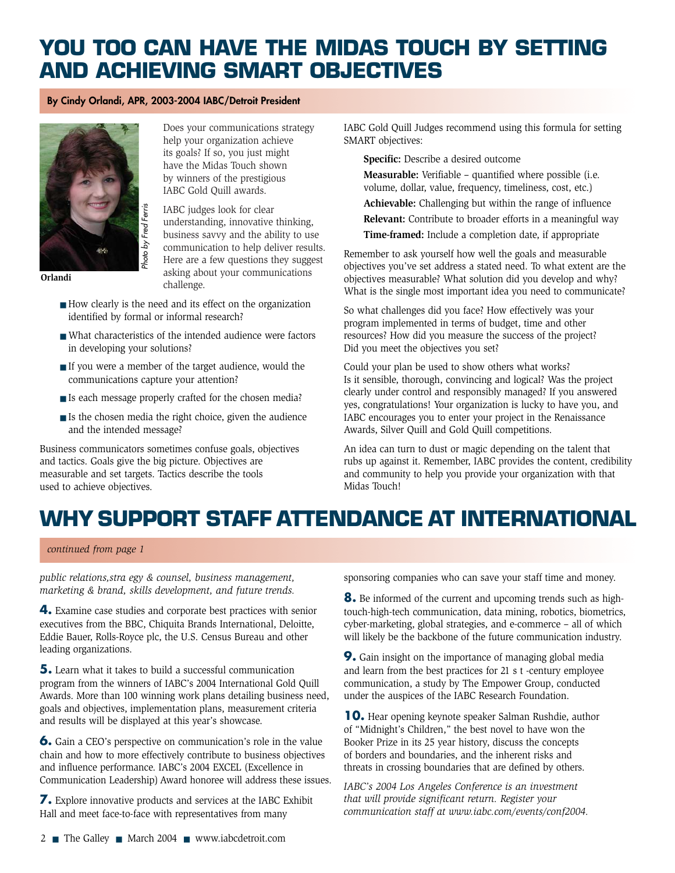# **YOU TOO CAN HAVE THE MIDAS TOUCH BY SETTING AND ACHIEVING SMART OBJECTIVES**

### **By Cindy Orlandi, APR, 2003-2004 IABC/Detroit President**



**Orlandi**

Does your communications strategy help your organization achieve its goals? If so, you just might have the Midas Touch shown by winners of the prestigious IABC Gold Quill awards.

IABC judges look for clear understanding, innovative thinking, business savvy and the ability to use communication to help deliver results. Here are a few questions they suggest asking about your communications challenge.

- How clearly is the need and its effect on the organization identified by formal or informal research?
- What characteristics of the intended audience were factors in developing your solutions?
- If you were a member of the target audience, would the communications capture your attention?
- Is each message properly crafted for the chosen media?
- Is the chosen media the right choice, given the audience and the intended message?

Business communicators sometimes confuse goals, objectives and tactics. Goals give the big picture. Objectives are measurable and set targets. Tactics describe the tools used to achieve objectives.

IABC Gold Quill Judges recommend using this formula for setting SMART objectives:

**Specific:** Describe a desired outcome

- **Measurable:** Verifiable quantified where possible (i.e. volume, dollar, value, frequency, timeliness, cost, etc.)
- **Achievable:** Challenging but within the range of influence
- **Relevant:** Contribute to broader efforts in a meaningful way
- **Time-framed:** Include a completion date, if appropriate

Remember to ask yourself how well the goals and measurable objectives you've set address a stated need. To what extent are the objectives measurable? What solution did you develop and why? What is the single most important idea you need to communicate?

So what challenges did you face? How effectively was your program implemented in terms of budget, time and other resources? How did you measure the success of the project? Did you meet the objectives you set?

Could your plan be used to show others what works? Is it sensible, thorough, convincing and logical? Was the project clearly under control and responsibly managed? If you answered yes, congratulations! Your organization is lucky to have you, and IABC encourages you to enter your project in the Renaissance Awards, Silver Quill and Gold Quill competitions.

An idea can turn to dust or magic depending on the talent that rubs up against it. Remember, IABC provides the content, credibility and community to help you provide your organization with that Midas Touch!

# **WHY SUPPORT STAFF ATTENDANCE AT INTERNATIONAL**

#### *continued from page 1*

*public relations,stra egy & counsel, business management, marketing & brand, skills development, and future trends.*

**4.** Examine case studies and corporate best practices with senior executives from the BBC, Chiquita Brands International, Deloitte, Eddie Bauer, Rolls-Royce plc, the U.S. Census Bureau and other leading organizations.

**5.** Learn what it takes to build a successful communication program from the winners of IABC's 2004 International Gold Quill Awards. More than 100 winning work plans detailing business need, goals and objectives, implementation plans, measurement criteria and results will be displayed at this year's showcase.

**6.** Gain a CEO's perspective on communication's role in the value chain and how to more effectively contribute to business objectives and influence performance. IABC's 2004 EXCEL (Excellence in Communication Leadership) Award honoree will address these issues.

**7.** Explore innovative products and services at the IABC Exhibit Hall and meet face-to-face with representatives from many

sponsoring companies who can save your staff time and money.

**8.** Be informed of the current and upcoming trends such as hightouch-high-tech communication, data mining, robotics, biometrics, cyber-marketing, global strategies, and e-commerce – all of which will likely be the backbone of the future communication industry.

**9.** Gain insight on the importance of managing global media and learn from the best practices for 21 s t -century employee communication, a study by The Empower Group, conducted under the auspices of the IABC Research Foundation.

**10.** Hear opening keynote speaker Salman Rushdie, author of "Midnight's Children," the best novel to have won the Booker Prize in its 25 year history, discuss the concepts of borders and boundaries, and the inherent risks and threats in crossing boundaries that are defined by others.

*IABC's 2004 Los Angeles Conference is an investment that will provide significant return. Register your communication staff at www.iabc.com/events/conf2004.*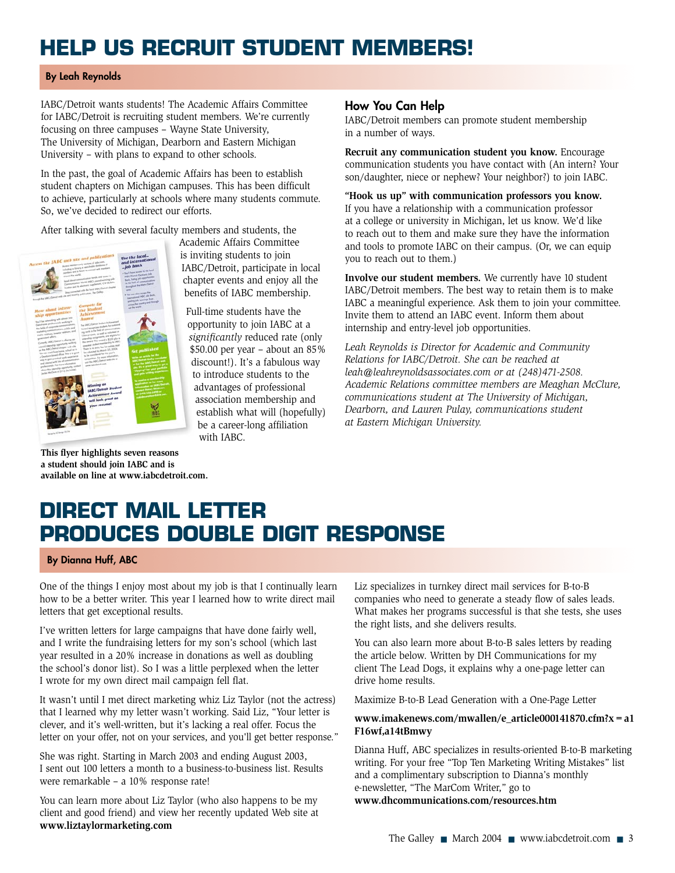# **HELP US RECRUIT STUDENT MEMBERS!**

#### **By Leah Reynolds**

IABC/Detroit wants students! The Academic Affairs Committee for IABC/Detroit is recruiting student members. We're currently focusing on three campuses – Wayne State University, The University of Michigan, Dearborn and Eastern Michigan University – with plans to expand to other schools.

In the past, the goal of Academic Affairs has been to establish student chapters on Michigan campuses. This has been difficult to achieve, particularly at schools where many students commute. So, we've decided to redirect our efforts.

After talking with several faculty members and students, the



**This flyer highlights seven reasons a student should join IABC and is available on line at www.iabcdetroit.com.**

Academic Affairs Committee is inviting students to join IABC/Detroit, participate in local chapter events and enjoy all the benefits of IABC membership.

Full-time students have the opportunity to join IABC at a *significantly* reduced rate (only \$50.00 per year – about an 85% discount!). It's a fabulous way to introduce students to the advantages of professional association membership and establish what will (hopefully) be a career-long affiliation with IABC.

### **How You Can Help**

IABC/Detroit members can promote student membership in a number of ways.

**Recruit any communication student you know.** Encourage communication students you have contact with (An intern? Your son/daughter, niece or nephew? Your neighbor?) to join IABC.

**"Hook us up" with communication professors you know.** If you have a relationship with a communication professor at a college or university in Michigan, let us know. We'd like to reach out to them and make sure they have the information and tools to promote IABC on their campus. (Or, we can equip you to reach out to them.)

**Involve our student members.** We currently have 10 student IABC/Detroit members. The best way to retain them is to make IABC a meaningful experience. Ask them to join your committee. Invite them to attend an IABC event. Inform them about internship and entry-level job opportunities.

*Leah Reynolds is Director for Academic and Community Relations for IABC/Detroit. She can be reached at leah@leahreynoldsassociates.com or at (248)471-2508. Academic Relations committee members are Meaghan McClure, communications student at The University of Michigan, Dearborn, and Lauren Pulay, communications student at Eastern Michigan University.*

# **DIRECT MAIL LETTER PRODUCES DOUBLE DIGIT RESPONSE**

### **By Dianna Huff, ABC**

One of the things I enjoy most about my job is that I continually learn how to be a better writer. This year I learned how to write direct mail letters that get exceptional results.

I've written letters for large campaigns that have done fairly well, and I write the fundraising letters for my son's school (which last year resulted in a 20% increase in donations as well as doubling the school's donor list). So I was a little perplexed when the letter I wrote for my own direct mail campaign fell flat.

It wasn't until I met direct marketing whiz Liz Taylor (not the actress) that I learned why my letter wasn't working. Said Liz, "Your letter is clever, and it's well-written, but it's lacking a real offer. Focus the letter on your offer, not on your services, and you'll get better response."

She was right. Starting in March 2003 and ending August 2003, I sent out 100 letters a month to a business-to-business list. Results were remarkable – a 10% response rate!

You can learn more about Liz Taylor (who also happens to be my client and good friend) and view her recently updated Web site at **www.liztaylormarketing.com**

Liz specializes in turnkey direct mail services for B-to-B companies who need to generate a steady flow of sales leads. What makes her programs successful is that she tests, she uses the right lists, and she delivers results.

You can also learn more about B-to-B sales letters by reading the article below. Written by DH Communications for my client The Lead Dogs, it explains why a one-page letter can drive home results.

Maximize B-to-B Lead Generation with a One-Page Letter

### **www.imakenews.com/mwallen/e\_article000141870.cfm?x=a1 F16wf,a14tBmwy**

Dianna Huff, ABC specializes in results-oriented B-to-B marketing writing. For your free "Top Ten Marketing Writing Mistakes" list and a complimentary subscription to Dianna's monthly e-newsletter, "The MarCom Writer," go to **www.dhcommunications.com/resources.htm**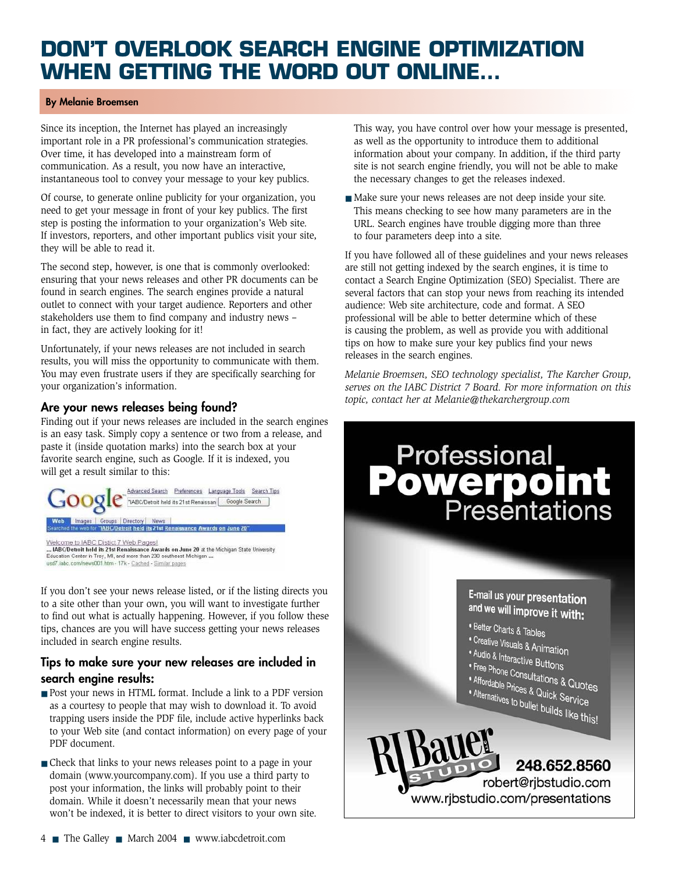# **DON'T OVERLOOK SEARCH ENGINE OPTIMIZATION WHEN GETTING THE WORD OUT ONLINE…**

### **By Melanie Broemsen**

Since its inception, the Internet has played an increasingly important role in a PR professional's communication strategies. Over time, it has developed into a mainstream form of communication. As a result, you now have an interactive, instantaneous tool to convey your message to your key publics.

Of course, to generate online publicity for your organization, you need to get your message in front of your key publics. The first step is posting the information to your organization's Web site. If investors, reporters, and other important publics visit your site, they will be able to read it.

The second step, however, is one that is commonly overlooked: ensuring that your news releases and other PR documents can be found in search engines. The search engines provide a natural outlet to connect with your target audience. Reporters and other stakeholders use them to find company and industry news – in fact, they are actively looking for it!

Unfortunately, if your news releases are not included in search results, you will miss the opportunity to communicate with them. You may even frustrate users if they are specifically searching for your organization's information.

### **Are your news releases being found?**

Finding out if your news releases are included in the search engines is an easy task. Simply copy a sentence or two from a release, and paste it (inside quotation marks) into the search box at your favorite search engine, such as Google. If it is indexed, you will get a result similar to this:



Education Center in Troy, MI, and more than 230 southeast Michigan.<br>usef/ iabc.com/news001 htm - 17k - Cached - Similar pages

If you don't see your news release listed, or if the listing directs you to a site other than your own, you will want to investigate further to find out what is actually happening. However, if you follow these tips, chances are you will have success getting your news releases included in search engine results.

### **Tips to make sure your new releases are included in search engine results:**

- Post your news in HTML format. Include a link to a PDF version as a courtesy to people that may wish to download it. To avoid trapping users inside the PDF file, include active hyperlinks back to your Web site (and contact information) on every page of your PDF document.
- Check that links to your news releases point to a page in your domain (www.yourcompany.com). If you use a third party to post your information, the links will probably point to their domain. While it doesn't necessarily mean that your news won't be indexed, it is better to direct visitors to your own site.

This way, you have control over how your message is presented, as well as the opportunity to introduce them to additional information about your company. In addition, if the third party site is not search engine friendly, you will not be able to make the necessary changes to get the releases indexed.

■ Make sure your news releases are not deep inside your site. This means checking to see how many parameters are in the URL. Search engines have trouble digging more than three to four parameters deep into a site.

If you have followed all of these guidelines and your news releases are still not getting indexed by the search engines, it is time to contact a Search Engine Optimization (SEO) Specialist. There are several factors that can stop your news from reaching its intended audience: Web site architecture, code and format. A SEO professional will be able to better determine which of these is causing the problem, as well as provide you with additional tips on how to make sure your key publics find your news releases in the search engines.

*Melanie Broemsen, SEO technology specialist, The Karcher Group, serves on the IABC District 7 Board. For more information on this topic, contact her at Melanie@thekarchergroup.com*

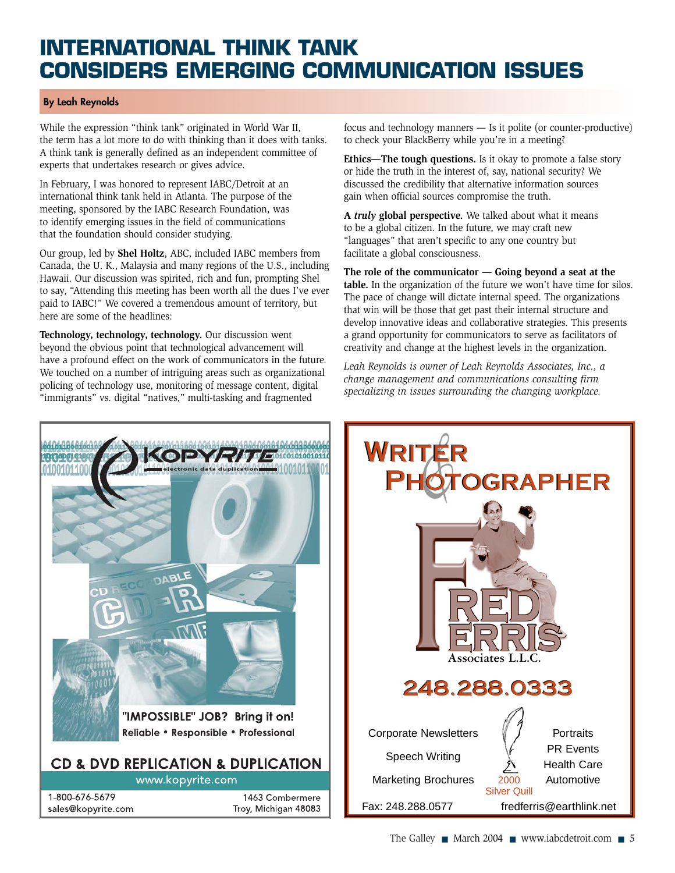# **INTERNATIONAL THINK TANK CONSIDERS EMERGING COMMUNICATION ISSUES**

### **By Leah Reynolds**

While the expression "think tank" originated in World War II, the term has a lot more to do with thinking than it does with tanks. A think tank is generally defined as an independent committee of experts that undertakes research or gives advice.

In February, I was honored to represent IABC/Detroit at an international think tank held in Atlanta. The purpose of the meeting, sponsored by the IABC Research Foundation, was to identify emerging issues in the field of communications that the foundation should consider studying.

Our group, led by **Shel Holtz**, ABC, included IABC members from Canada, the U. K., Malaysia and many regions of the U.S., including Hawaii. Our discussion was spirited, rich and fun, prompting Shel to say, "Attending this meeting has been worth all the dues I've ever paid to IABC!" We covered a tremendous amount of territory, but here are some of the headlines:

**Technology, technology, technology.** Our discussion went beyond the obvious point that technological advancement will have a profound effect on the work of communicators in the future. We touched on a number of intriguing areas such as organizational policing of technology use, monitoring of message content, digital "immigrants" vs. digital "natives," multi-tasking and fragmented

focus and technology manners — Is it polite (or counter-productive) to check your BlackBerry while you're in a meeting?

**Ethics—The tough questions.** Is it okay to promote a false story or hide the truth in the interest of, say, national security? We discussed the credibility that alternative information sources gain when official sources compromise the truth.

**A** *truly* **global perspective.** We talked about what it means to be a global citizen. In the future, we may craft new "languages" that aren't specific to any one country but facilitate a global consciousness.

**The role of the communicator — Going beyond a seat at the table.** In the organization of the future we won't have time for silos. The pace of change will dictate internal speed. The organizations that win will be those that get past their internal structure and develop innovative ideas and collaborative strategies. This presents a grand opportunity for communicators to serve as facilitators of creativity and change at the highest levels in the organization.

*Leah Reynolds is owner of Leah Reynolds Associates, Inc., a change management and communications consulting firm specializing in issues surrounding the changing workplace.*

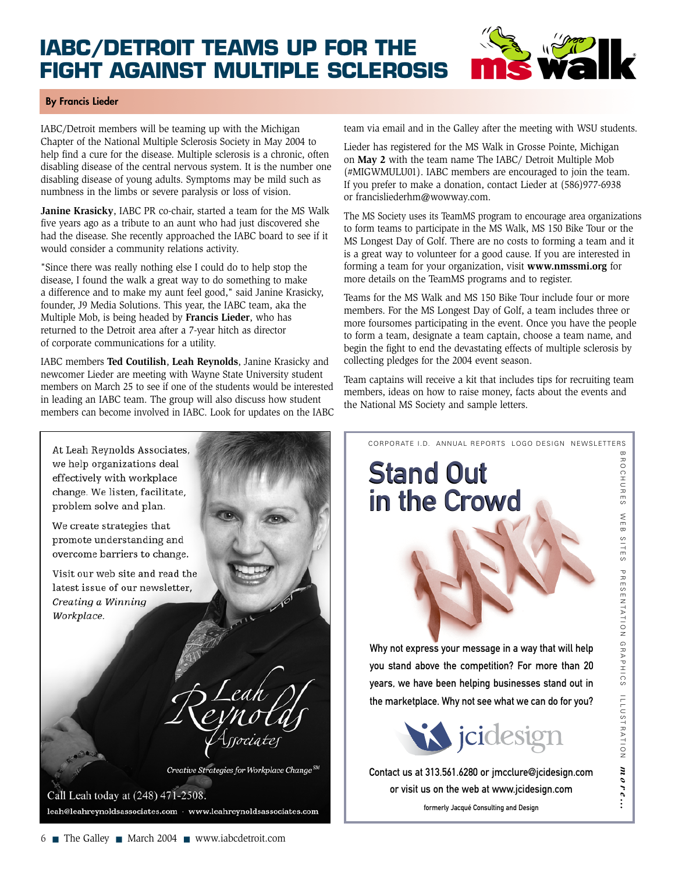# **IABC/DETROIT TEAMS UP FOR THE FIGHT AGAINST MULTIPLE SCLEROSIS**



### **By Francis Lieder**

IABC/Detroit members will be teaming up with the Michigan Chapter of the National Multiple Sclerosis Society in May 2004 to help find a cure for the disease. Multiple sclerosis is a chronic, often disabling disease of the central nervous system. It is the number one disabling disease of young adults. Symptoms may be mild such as numbness in the limbs or severe paralysis or loss of vision.

**Janine Krasicky**, IABC PR co-chair, started a team for the MS Walk five years ago as a tribute to an aunt who had just discovered she had the disease. She recently approached the IABC board to see if it would consider a community relations activity.

"Since there was really nothing else I could do to help stop the disease, I found the walk a great way to do something to make a difference and to make my aunt feel good," said Janine Krasicky, founder, J9 Media Solutions. This year, the IABC team, aka the Multiple Mob, is being headed by **Francis Lieder**, who has returned to the Detroit area after a 7-year hitch as director of corporate communications for a utility.

IABC members **Ted Coutilish**, **Leah Reynolds**, Janine Krasicky and newcomer Lieder are meeting with Wayne State University student members on March 25 to see if one of the students would be interested in leading an IABC team. The group will also discuss how student members can become involved in IABC. Look for updates on the IABC team via email and in the Galley after the meeting with WSU students.

Lieder has registered for the MS Walk in Grosse Pointe, Michigan on **May 2** with the team name The IABC/ Detroit Multiple Mob (#MIGWMULU01). IABC members are encouraged to join the team. If you prefer to make a donation, contact Lieder at (586)977-6938 or francisliederhm@wowway.com.

The MS Society uses its TeamMS program to encourage area organizations to form teams to participate in the MS Walk, MS 150 Bike Tour or the MS Longest Day of Golf. There are no costs to forming a team and it is a great way to volunteer for a good cause. If you are interested in forming a team for your organization, visit **www.nmssmi.org** for more details on the TeamMS programs and to register.

Teams for the MS Walk and MS 150 Bike Tour include four or more members. For the MS Longest Day of Golf, a team includes three or more foursomes participating in the event. Once you have the people to form a team, designate a team captain, choose a team name, and begin the fight to end the devastating effects of multiple sclerosis by collecting pledges for the 2004 event season.

Team captains will receive a kit that includes tips for recruiting team members, ideas on how to raise money, facts about the events and the National MS Society and sample letters.

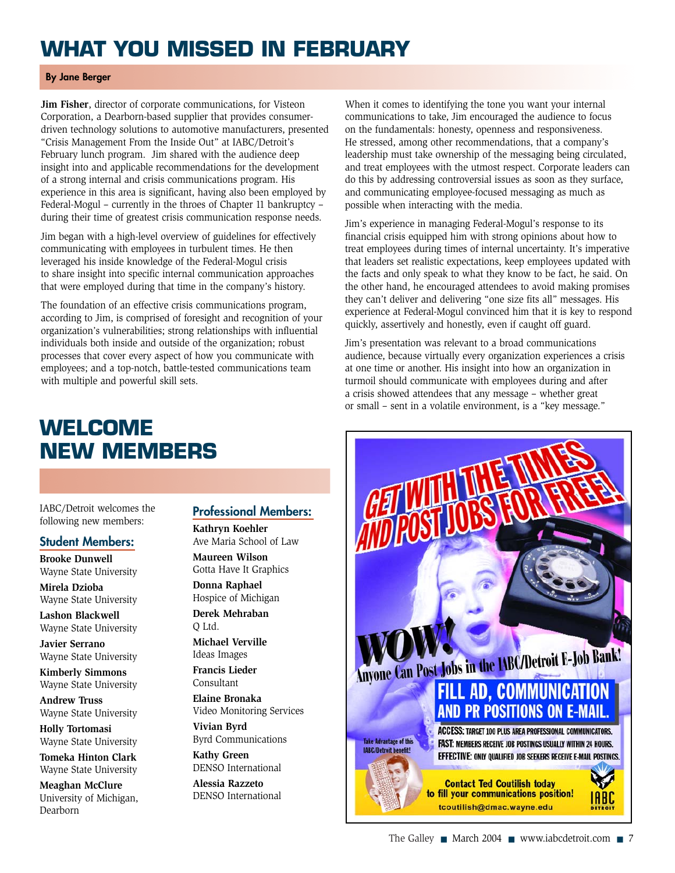# **WHAT YOU MISSED IN FEBRUARY**

#### **By Jane Berger**

**Jim Fisher**, director of corporate communications, for Visteon Corporation, a Dearborn-based supplier that provides consumerdriven technology solutions to automotive manufacturers, presented "Crisis Management From the Inside Out" at IABC/Detroit's February lunch program. Jim shared with the audience deep insight into and applicable recommendations for the development of a strong internal and crisis communications program. His experience in this area is significant, having also been employed by Federal-Mogul – currently in the throes of Chapter 11 bankruptcy – during their time of greatest crisis communication response needs.

Jim began with a high-level overview of guidelines for effectively communicating with employees in turbulent times. He then leveraged his inside knowledge of the Federal-Mogul crisis to share insight into specific internal communication approaches that were employed during that time in the company's history.

The foundation of an effective crisis communications program, according to Jim, is comprised of foresight and recognition of your organization's vulnerabilities; strong relationships with influential individuals both inside and outside of the organization; robust processes that cover every aspect of how you communicate with employees; and a top-notch, battle-tested communications team with multiple and powerful skill sets.

When it comes to identifying the tone you want your internal communications to take, Jim encouraged the audience to focus on the fundamentals: honesty, openness and responsiveness. He stressed, among other recommendations, that a company's leadership must take ownership of the messaging being circulated, and treat employees with the utmost respect. Corporate leaders can do this by addressing controversial issues as soon as they surface, and communicating employee-focused messaging as much as possible when interacting with the media.

Jim's experience in managing Federal-Mogul's response to its financial crisis equipped him with strong opinions about how to treat employees during times of internal uncertainty. It's imperative that leaders set realistic expectations, keep employees updated with the facts and only speak to what they know to be fact, he said. On the other hand, he encouraged attendees to avoid making promises they can't deliver and delivering "one size fits all" messages. His experience at Federal-Mogul convinced him that it is key to respond quickly, assertively and honestly, even if caught off guard.

Jim's presentation was relevant to a broad communications audience, because virtually every organization experiences a crisis at one time or another. His insight into how an organization in turmoil should communicate with employees during and after a crisis showed attendees that any message – whether great or small – sent in a volatile environment, is a "key message."

# **WELCOME NEW MEMBERS**

IABC/Detroit welcomes the following new members:

### **Student Members:**

**Brooke Dunwell** Wayne State University

**Mirela Dzioba** Wayne State University

**Lashon Blackwell** Wayne State University

**Javier Serrano** Wayne State University

**Kimberly Simmons** Wayne State University

**Andrew Truss** Wayne State University

**Holly Tortomasi** Wayne State University

**Tomeka Hinton Clark** Wayne State University

**Meaghan McClure** University of Michigan, Dearborn

# **Professional Members:**

**Kathryn Koehler** Ave Maria School of Law

**Maureen Wilson** Gotta Have It Graphics

**Donna Raphael** Hospice of Michigan

**Derek Mehraban** Q Ltd.

**Michael Verville** Ideas Images

**Francis Lieder** Consultant

**Elaine Bronaka** Video Monitoring Services

**Vivian Byrd** Byrd Communications

**Kathy Green** DENSO International

**Alessia Razzeto** DENSO International